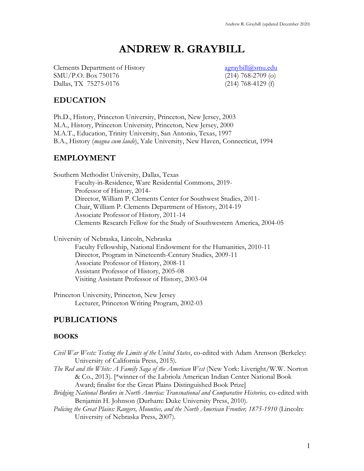# **ANDREW R. GRAYBILL**

Clements Department of History [agraybill@smu.edu](mailto:agraybill2@unlnotes.unl.edu) SMU/P.O. Box 750176 (214) 768-2709 (o) Dallas, TX 75275-0176 (214) 768-4129 (f)

### **EDUCATION**

Ph.D., History, Princeton University, Princeton, New Jersey, 2003 M.A., History, Princeton University, Princeton, New Jersey, 2000 M.A.T., Education, Trinity University, San Antonio, Texas, 1997 B.A., History (*magna cum laude*), Yale University, New Haven, Connecticut, 1994

### **EMPLOYMENT**

Southern Methodist University, Dallas, Texas Faculty-in-Residence, Ware Residential Commons, 2019- Professor of History, 2014- Director, William P. Clements Center for Southwest Studies, 2011- Chair, William P. Clements Department of History, 2014-19 Associate Professor of History, 2011-14 Clements Research Fellow for the Study of Southwestern America, 2004-05

University of Nebraska, Lincoln, Nebraska Faculty Fellowship, National Endowment for the Humanities, 2010-11 Director, Program in Nineteenth-Century Studies, 2009-11 Associate Professor of History, 2008-11 Assistant Professor of History, 2005-08 Visiting Assistant Professor of History, 2003-04

Princeton University, Princeton, New Jersey Lecturer, Princeton Writing Program, 2002-03

### **PUBLICATIONS**

### **BOOKS**

*Civil War Wests: Testing the Limits of the United States*, co-edited with Adam Arenson (Berkeley: University of California Press, 2015). *The Red and the White: A Family Saga of the American West* (New York: Liveright/W.W. Norton & Co., 2013). [\*winner of the Labriola American Indian Center National Book Award; finalist for the Great Plains Distinguished Book Prize] *Bridging National Borders in North America: Transnational and Comparative Histories,* co-edited with Benjamin H. Johnson (Durham: Duke University Press, 2010). *Policing the Great Plains: Rangers, Mounties, and the North American Frontier, 1875-1910* (Lincoln: University of Nebraska Press, 2007).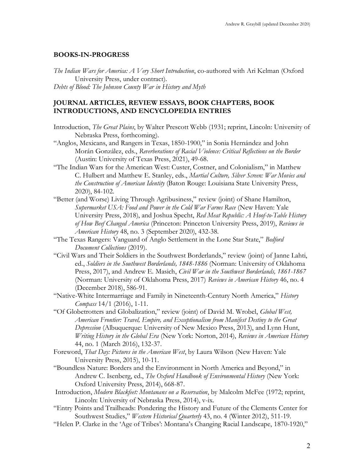#### **BOOKS-IN-PROGRESS**

*The Indian Wars for America: A Very Short Introduction*, co-authored with Ari Kelman (Oxford University Press, under contract). *Debts of Blood: The Johnson County War in History and Myth*

### **JOURNAL ARTICLES, REVIEW ESSAYS, BOOK CHAPTERS, BOOK INTRODUCTIONS, AND ENCYCLOPEDIA ENTRIES**

- Introduction, *The Great Plains*, by Walter Prescott Webb (1931; reprint, Lincoln: University of Nebraska Press, forthcoming).
- "Anglos, Mexicans, and Rangers in Texas, 1850-1900," in Sonia Hernández and John Morán González, eds., *Reverberations of Racial Violence: Critical Reflections on the Border* (Austin: University of Texas Press, 2021), 49-68.
- "The Indian Wars for the American West: Custer, Costner, and Colonialism," in Matthew C. Hulbert and Matthew E. Stanley, eds., *Martial Culture, Silver Screen: War Movies and the Construction of American Identity* (Baton Rouge: Louisiana State University Press, 2020), 84-102.
- "Better (and Worse) Living Through Agribusiness," review (joint) of Shane Hamilton, *Supermarket USA: Food and Power in the Cold War Farms Race* (New Haven: Yale University Press, 2018), and Joshua Specht, *Red Meat Republic: A Hoof-to-Table History of How Beef Changed America* (Princeton: Princeton University Press, 2019), *Reviews in American History* 48, no. 3 (September 2020), 432-38.
- "The Texas Rangers: Vanguard of Anglo Settlement in the Lone Star State," *Bedford Document Collections* (2019).
- "Civil Wars and Their Soldiers in the Southwest Borderlands," review (joint) of Janne Lahti, ed., *Soldiers in the Southwest Borderlands, 1848-1886* (Norman: University of Oklahoma Press, 2017), and Andrew E. Masich, *Civil War in the Southwest Borderlands, 1861-1867*  (Norman: University of Oklahoma Press, 2017) *Reviews in American History* 46, no. 4 (December 2018), 586-91.
- "Native-White Intermarriage and Family in Nineteenth-Century North America," *History Compass* 14/1 (2016), 1-11.
- "Of Globetrotters and Globalization," review (joint) of David M. Wrobel, *Global West, American Frontier: Travel, Empire, and Exceptionalism from Manifest Destiny to the Great Depression* (Albuquerque: University of New Mexico Press, 2013), and Lynn Hunt, *Writing History in the Global Era* (New York: Norton, 2014), *Reviews in American History* 44, no. 1 (March 2016), 132-37.
- Foreword, *That Day: Pictures in the American West*, by Laura Wilson (New Haven: Yale University Press, 2015), 10-11.
- "Boundless Nature: Borders and the Environment in North America and Beyond," in Andrew C. Isenberg, ed., *The Oxford Handbook of Environmental History* (New York: Oxford University Press, 2014), 668-87.
- Introduction, *Modern Blackfeet: Montanans on a Reservation*, by Malcolm McFee (1972; reprint, Lincoln: University of Nebraska Press, 2014), v-ix.
- "Entry Points and Trailheads: Pondering the History and Future of the Clements Center for Southwest Studies," *Western Historical Quarterly* 43, no. 4 (Winter 2012), 511-19.
- "Helen P. Clarke in the 'Age of Tribes': Montana's Changing Racial Landscape, 1870-1920,"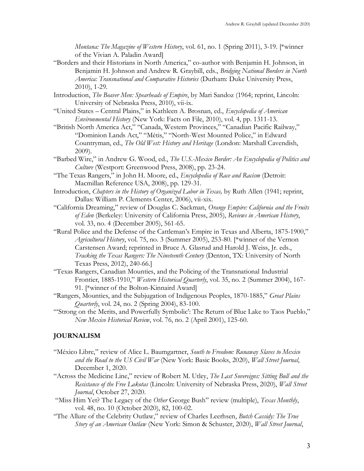*Montana: The Magazine of Western History*, vol. 61, no. 1 (Spring 2011), 3-19. [\*winner of the Vivian A. Paladin Award]

"Borders and their Historians in North America," co-author with Benjamin H. Johnson, in Benjamin H. Johnson and Andrew R. Graybill, eds., *Bridging National Borders in North America: Transnational and Comparative Histories* (Durham: Duke University Press, 2010), 1-29.

Introduction, *The Beaver Men: Spearheads of Empire*, by Mari Sandoz (1964; reprint, Lincoln: University of Nebraska Press, 2010), vii-ix.

- "United States Central Plains," in Kathleen A. Brosnan, ed., *Encyclopedia of American Environmental History* (New York: Facts on File, 2010), vol. 4, pp. 1311-13.
- "British North America Act," "Canada, Western Provinces," "Canadian Pacific Railway," "Dominion Lands Act," "Métis," "North-West Mounted Police," in Edward Countryman, ed., *The Old West: History and Heritage* (London: Marshall Cavendish, 2009).
- "Barbed Wire," in Andrew G. Wood, ed., *The U.S.-Mexico Border: An Encyclopedia of Politics and Culture* (Westport: Greenwood Press, 2008), pp. 23-24.
- "The Texas Rangers," in John H. Moore, ed., *Encyclopedia of Race and Racism* (Detroit: Macmillan Reference USA, 2008), pp. 129-31.
- Introduction, *Chapters in the History of Organized Labor in Texas,* by Ruth Allen (1941; reprint, Dallas: William P. Clements Center, 2006), vii-xix.
- "California Dreaming," review of Douglas C. Sackman, *Orange Empire: California and the Fruits of Eden* (Berkeley: University of California Press, 2005), *Reviews in American History*, vol. 33, no. 4 (December 2005), 561-65.
- "Rural Police and the Defense of the Cattleman's Empire in Texas and Alberta, 1875-1900," *Agricultural History*, vol. 75, no. 3 (Summer 2005), 253-80. [\*winner of the Vernon Carstensen Award; reprinted in Bruce A. Glasrud and Harold J. Weiss, Jr. eds., *Tracking the Texas Rangers: The Nineteenth Century* (Denton, TX: University of North Texas Press, 2012), 240-66.]
- "Texas Rangers, Canadian Mounties, and the Policing of the Transnational Industrial Frontier, 1885-1910," *Western Historical Quarterly*, vol. 35, no. 2 (Summer 2004), 167- 91. [\*winner of the Bolton-Kinnaird Award]
- "Rangers, Mounties, and the Subjugation of Indigenous Peoples, 1870-1885," *Great Plains Quarterly*, vol. 24, no. 2 (Spring 2004), 83-100.
- "'Strong on the Merits, and Powerfully Symbolic': The Return of Blue Lake to Taos Pueblo," *New Mexico Historical Review*, vol. 76, no. 2 (April 2001), 125-60.

### **JOURNALISM**

- "México Libre," review of Alice L. Baumgartner, *South to Freedom: Runaway Slaves to Mexico and the Road to the US Civil War* (New York: Basic Books, 2020), *Wall Street Journal*, December 1, 2020.
- "Across the Medicine Line," review of Robert M. Utley, *The Last Sovereigns: Sitting Bull and the Resistance of the Free Lakotas* (Lincoln: University of Nebraska Press, 2020), *Wall Street Journal*, October 27, 2020.
- "Miss Him Yet? The Legacy of the *Other* George Bush" review (multiple), *Texas Monthly*, vol. 48, no. 10 (October 2020), 82, 100-02.
- "The Allure of the Celebrity Outlaw," review of Charles Leerhsen, *Butch Cassidy: The True Story of an American Outlaw* (New York: Simon & Schuster, 2020), *Wall Street Journal*,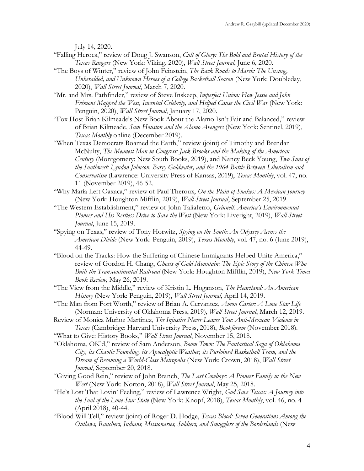July 14, 2020.

- "Falling Heroes," review of Doug J. Swanson, *Cult of Glory: The Bold and Brutal History of the Texas Rangers* (New York: Viking, 2020), *Wall Street Journal*, June 6, 2020.
- "The Boys of Winter," review of John Feinstein, *The Back Roads to March: The Unsung, Unheralded, and Unknown Heroes of a College Basketball Season* (New York: Doubleday, 2020), *Wall Street Journal*, March 7, 2020.
- "Mr. and Mrs. Pathfinder," review of Steve Inskeep, *Imperfect Union: How Jessie and John Frémont Mapped the West, Invented Celebrity, and Helped Cause the Civil War* (New York: Penguin, 2020), *Wall Street Journal*, January 17, 2020.
- "Fox Host Brian Kilmeade's New Book About the Alamo Isn't Fair and Balanced," review of Brian Kilmeade, *Sam Houston and the Alamo Avengers* (New York: Sentinel, 2019), *Texas Monthly* online (December 2019).
- "When Texas Democrats Roamed the Earth," review (joint) of Timothy and Brendan McNulty, *The Meanest Man in Congress: Jack Brooks and the Making of the American Century* (Montgomery: New South Books, 2019), and Nancy Beck Young, *Two Suns of the Southwest: Lyndon Johnson, Barry Goldwater, and the 1964 Battle Between Liberalism and Conservatism* (Lawrence: University Press of Kansas, 2019), *Texas Monthly*, vol. 47, no. 11 (November 2019), 46-52.
- "Why María Left Oaxaca," review of Paul Theroux, *On the Plain of Snakes: A Mexican Journey*  (New York: Houghton Mifflin, 2019), *Wall Street Journal*, September 25, 2019.
- "The Western Establishment," review of John Taliaferro, *Grinnell: America's Environmental Pioneer and His Restless Drive to Save the West* (New York: Liveright, 2019), *Wall Street Journal*, June 15, 2019.
- "Spying on Texas," review of Tony Horwitz, *Spying on the South: An Odyssey Across the American Divide* (New York: Penguin, 2019), *Texas Monthly*, vol. 47, no. 6 (June 2019), 44-49.
- "Blood on the Tracks: How the Suffering of Chinese Immigrants Helped Unite America," review of Gordon H. Chang, *Ghosts of Gold Mountain: The Epic Story of the Chinese Who Built the Transcontinental Railroad* (New York: Houghton Mifflin, 2019), *New York Times Book Review*, May 26, 2019.
- "The View from the Middle," review of Kristin L. Hoganson, *The Heartland: An American History* (New York: Penguin, 2019), *Wall Street Journal*, April 14, 2019.
- "The Man from Fort Worth," review of Brian A. Cervantez, *Amon Carter: A Lone Star Life* (Norman: University of Oklahoma Press, 2019), *Wall Street Journal*, March 12, 2019.
- Review of Monica Muñoz Martinez, *The Injustice Never Leaves You: Anti-Mexican Violence in Texas* (Cambridge: Harvard University Press, 2018), *Bookforum* (November 2018).
- "What to Give: History Books," *Wall Street Journal*, November 15, 2018.
- "Oklahoma, OK'd," review of Sam Anderson, *Boom Town: The Fantastical Saga of Oklahoma City, its Chaotic Founding, its Apocalyptic Weather, its Purloined Basketball Team, and the Dream of Becoming a World-Class Metropolis* (New York: Crown, 2018), *Wall Street Journal*, September 20, 2018.
- "Giving Good Rein," review of John Branch, *The Last Cowboys: A Pioneer Family in the New West* (New York: Norton, 2018), *Wall Street Journal*, May 25, 2018.
- "He's Lost That Lovin' Feeling," review of Lawrence Wright, *God Save Texas: A Journey into the Soul of the Lone Star State* (New York: Knopf, 2018), *Texas Monthly*, vol. 46, no. 4 (April 2018), 40-44.
- "Blood Will Tell," review (joint) of Roger D. Hodge, *Texas Blood: Seven Generations Among the Outlaws, Ranchers, Indians, Missionaries, Soldiers, and Smugglers of the Borderlands* (New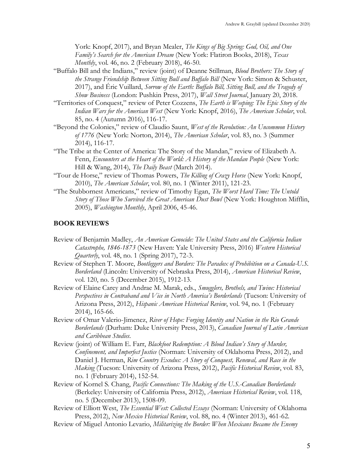York: Knopf, 2017), and Bryan Mealer, *The Kings of Big Spring: God, Oil, and One Family's Search for the American Dream* (New York: Flatiron Books, 2018), *Texas Monthly*, vol. 46, no. 2 (February 2018), 46-50.

- "Buffalo Bill and the Indians," review (joint) of Deanne Stillman, *Blood Brothers: The Story of the Strange Friendship Between Sitting Bull and Buffalo Bill* (New York: Simon & Schuster, 2017), and Éric Vuillard, *Sorrow of the Earth: Buffalo Bill, Sitting Bull, and the Tragedy of Show Business* (London: Pushkin Press, 2017), *Wall Street Journal*, January 20, 2018.
- "Territories of Conquest," review of Peter Cozzens, *The Earth is Weeping: The Epic Story of the Indian Wars for the American West* (New York: Knopf, 2016), *The American Scholar*, vol. 85, no. 4 (Autumn 2016), 116-17.
- "Beyond the Colonies," review of Claudio Saunt, *West of the Revolution: An Uncommon History of 1776* (New York: Norton, 2014), *The American Scholar*, vol. 83, no. 3 (Summer 2014), 116-17.
- "The Tribe at the Center of America: The Story of the Mandan," review of Elizabeth A. Fenn, *Encounters at the Heart of the World: A History of the Mandan People* (New York: Hill & Wang, 2014), *The Daily Beast* (March 2014).
- "Tour de Horse," review of Thomas Powers, *The Killing of Crazy Horse* (New York: Knopf, 2010), *The American Scholar*, vol. 80, no. 1 (Winter 2011), 121-23.
- "The Stubbornest Americans," review of Timothy Egan, *The Worst Hard Time: The Untold Story of Those Who Survived the Great American Dust Bowl* (New York: Houghton Mifflin, 2005), *Washington Monthly*, April 2006, 45-46.

#### **BOOK REVIEWS**

- Review of Benjamin Madley, *An American Genocide: The United States and the California Indian Catastrophe, 1846-1873* (New Haven: Yale University Press, 2016) *Western Historical Quarterly*, vol. 48, no. 1 (Spring 2017), 72-3.
- Review of Stephen T. Moore, *Bootleggers and Borders: The Paradox of Prohibition on a Canada-U.S. Borderland* (Lincoln: University of Nebraska Press, 2014), *American Historical Review*, vol. 120, no. 5 (December 2015), 1912-13.
- Review of Elaine Carey and Andrae M. Marak, eds., *Smugglers, Brothels, and Twine: Historical Perspectives in Contraband and Vice in North America's Borderlands* (Tucson: University of Arizona Press, 2012), *Hispanic American Historical Review*, vol. 94, no. 1 (February 2014), 165-66.
- Review of Omar Valerio-Jimenez, *River of Hope: Forging Identity and Nation in the Rio Grande Borderlands* (Durham: Duke University Press, 2013), *Canadian Journal of Latin American and Caribbean Studies.*
- Review (joint) of William E. Farr, *Blackfoot Redemption: A Blood Indian's Story of Murder, Confinement, and Imperfect Justice* (Norman: University of Oklahoma Press, 2012), and Daniel J. Herman, *Rim Country Exodus: A Story of Conquest, Renewal, and Race in the Making* (Tucson: University of Arizona Press, 2012), *Pacific Historical Review*, vol. 83, no. 1 (February 2014), 152-54.
- Review of Kornel S. Chang, *Pacific Connections: The Making of the U.S.-Canadian Borderlands* (Berkeley: University of California Press, 2012), *American Historical Review*, vol. 118, no. 5 (December 2013), 1508-09.
- Review of Elliott West, *The Essential West: Collected Essays* (Norman: University of Oklahoma Press, 2012), *New Mexico Historical Review*, vol. 88, no. 4 (Winter 2013), 461-62.
- Review of Miguel Antonio Levario, *Militarizing the Border: When Mexicans Became the Enemy*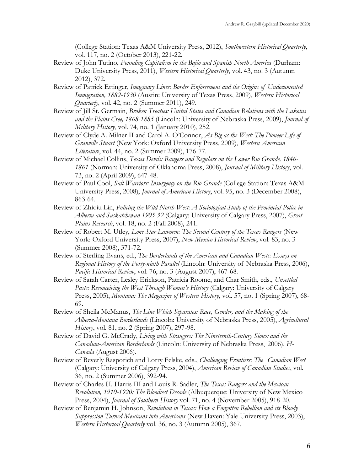(College Station: Texas A&M University Press, 2012), *Southwestern Historical Quarterly*, vol. 117, no. 2 (October 2013), 221-22.

- Review of John Tutino, *Founding Capitalism in the Bajío and Spanish North America* (Durham: Duke University Press, 2011), *Western Historical Quarterly*, vol. 43, no. 3 (Autumn 2012), 372.
- Review of Patrick Ettinger, *Imaginary Lines: Border Enforcement and the Origins of Undocumented Immigration, 1882-1930* (Austin: University of Texas Press, 2009), *Western Historical Quarterly*, vol. 42, no. 2 (Summer 2011), 249.
- Review of Jill St. Germain, *Broken Treaties: United States and Canadian Relations with the Lakotas and the Plains Cree, 1868-1885* (Lincoln: University of Nebraska Press, 2009), *Journal of Military History*, vol. 74, no. 1 (January 2010), 252.
- Review of Clyde A. Milner II and Carol A. O'Connor, *As Big as the West: The Pioneer Life of Granville Stuart* (New York: Oxford University Press, 2009), *Western American Literature*, vol. 44, no. 2 (Summer 2009), 176-77.
- Review of Michael Collins, *Texas Devils: Rangers and Regulars on the Lower Rio Grande, 1846- 1861* (Norman: University of Oklahoma Press, 2008), *Journal of Military History*, vol. 73, no. 2 (April 2009), 647-48.
- Review of Paul Cool, *Salt Warriors: Insurgency on the Rio Grande* (College Station: Texas A&M University Press, 2008), *Journal of American History*, vol. 95, no. 3 (December 2008), 863-64.
- Review of Zhiqiu Lin, *Policing the Wild North-West: A Sociological Study of the Provincial Police in Alberta and Saskatchewan 1905-32* (Calgary: University of Calgary Press, 2007), *Great Plains Research*, vol. 18, no. 2 (Fall 2008), 241.
- Review of Robert M. Utley, *Lone Star Lawmen: The Second Century of the Texas Rangers* (New York: Oxford University Press, 2007), *New Mexico Historical Review*, vol. 83, no. 3 (Summer 2008), 371-72.
- Review of Sterling Evans, ed., *The Borderlands of the American and Canadian Wests: Essays on Regional History of the Forty-ninth Parallel* (Lincoln: University of Nebraska Press, 2006), *Pacific Historical Review*, vol. 76, no. 3 (August 2007), 467-68.
- Review of Sarah Carter, Lesley Erickson, Patricia Roome, and Char Smith, eds., *Unsettled Pasts: Reconceiving the West Through Women's History* (Calgary: University of Calgary Press, 2005), *Montana: The Magazine of Western History*, vol. 57, no. 1 (Spring 2007), 68- 69.
- Review of Sheila McManus, *The Line Which Separates: Race, Gender, and the Making of the Alberta-Montana Borderlands* (Lincoln: University of Nebraska Press, 2005), *Agricultural History*, vol. 81, no. 2 (Spring 2007), 297-98.
- Review of David G. McCrady, *Living with Strangers: The Nineteenth-Century Sioux and the Canadian-American Borderlands* (Lincoln: University of Nebraska Press, 2006), *H-Canada* (August 2006).
- Review of Beverly Rasporich and Lorry Felske, eds., *Challenging Frontiers: The Canadian West* (Calgary: University of Calgary Press, 2004), *American Review of Canadian Studies*, vol. 36, no. 2 (Summer 2006), 392-94.
- Review of Charles H. Harris III and Louis R. Sadler, *The Texas Rangers and the Mexican Revolution, 1910-1920: The Bloodiest Decade* (Albuquerque: University of New Mexico Press, 2004), *Journal of Southern History* vol. 71, no. 4 (November 2005), 918-20.
- Review of Benjamin H. Johnson, *Revolution in Texas: How a Forgotten Rebellion and its Bloody Suppression Turned Mexicans into Americans* (New Haven: Yale University Press, 2003), *Western Historical Quarterly* vol. 36, no. 3 (Autumn 2005), 367.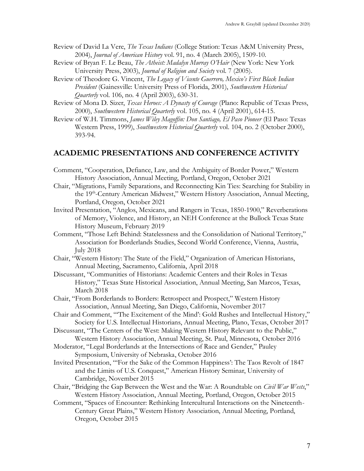- Review of David La Vere, *The Texas Indians* (College Station: Texas A&M University Press, 2004), *Journal of American History* vol. 91, no. 4 (March 2005), 1509-10.
- Review of Bryan F. Le Beau, *The Atheist: Madalyn Murray O'Hair* (New York: New York University Press, 2003), *Journal of Religion and Society* vol. 7 (2005).
- Review of Theodore G. Vincent, *The Legacy of Vicente Guerrero, Mexico's First Black Indian President* (Gainesville: University Press of Florida, 2001), *Southwestern Historical Quarterly* vol. 106, no. 4 (April 2003), 630-31.
- Review of Mona D. Sizer, *Texas Heroes: A Dynasty of Courage* (Plano: Republic of Texas Press, 2000), *Southwestern Historical Quarterly* vol. 105, no. 4 (April 2001), 614-15.
- Review of W.H. Timmons, *James Wiley Magoffin: Don Santiago, El Paso Pioneer* (El Paso: Texas Western Press, 1999), *Southwestern Historical Quarterly* vol. 104, no. 2 (October 2000), 393-94.

## **ACADEMIC PRESENTATIONS AND CONFERENCE ACTIVITY**

- Comment, "Cooperation, Defiance, Law, and the Ambiguity of Border Power," Western History Association, Annual Meeting, Portland, Oregon, October 2021
- Chair, "Migrations, Family Separations, and Reconnecting Kin Ties: Searching for Stability in the 19<sup>th</sup>-Century American Midwest," Western History Association, Annual Meeting, Portland, Oregon, October 2021
- Invited Presentation, "Anglos, Mexicans, and Rangers in Texas, 1850-1900," Reverberations of Memory, Violence, and History, an NEH Conference at the Bullock Texas State History Museum, February 2019
- Comment, "Those Left Behind: Statelessness and the Consolidation of National Territory," Association for Borderlands Studies, Second World Conference, Vienna, Austria, July 2018
- Chair, "Western History: The State of the Field," Organization of American Historians, Annual Meeting, Sacramento, California, April 2018
- Discussant, "Communities of Historians: Academic Centers and their Roles in Texas History," Texas State Historical Association, Annual Meeting, San Marcos, Texas, March 2018
- Chair, "From Borderlands to Borders: Retrospect and Prospect," Western History Association, Annual Meeting, San Diego, California, November 2017
- Chair and Comment, "'The Excitement of the Mind': Gold Rushes and Intellectual History," Society for U.S. Intellectual Historians, Annual Meeting, Plano, Texas, October 2017
- Discussant, "The Centers of the West: Making Western History Relevant to the Public," Western History Association, Annual Meeting, St. Paul, Minnesota, October 2016
- Moderator, "Legal Borderlands at the Intersections of Race and Gender," Pauley Symposium, University of Nebraska, October 2016
- Invited Presentation, "'For the Sake of the Common Happiness': The Taos Revolt of 1847 and the Limits of U.S. Conquest," American History Seminar, University of Cambridge, November 2015
- Chair, "Bridging the Gap Between the West and the War: A Roundtable on *Civil War Wests*," Western History Association, Annual Meeting, Portland, Oregon, October 2015
- Comment, "Spaces of Encounter: Rethinking Intercultural Interactions on the Nineteenth-Century Great Plains," Western History Association, Annual Meeting, Portland, Oregon, October 2015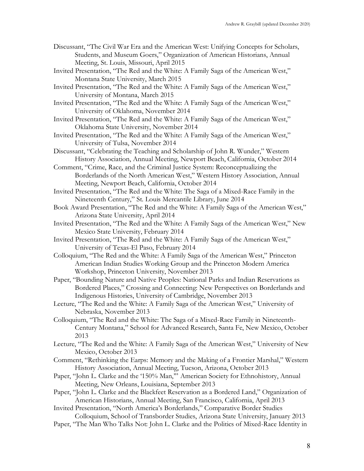- Discussant, "The Civil War Era and the American West: Unifying Concepts for Scholars, Students, and Museum Goers," Organization of American Historians, Annual Meeting, St. Louis, Missouri, April 2015
- Invited Presentation, "The Red and the White: A Family Saga of the American West," Montana State University, March 2015
- Invited Presentation, "The Red and the White: A Family Saga of the American West," University of Montana, March 2015
- Invited Presentation, "The Red and the White: A Family Saga of the American West," University of Oklahoma, November 2014
- Invited Presentation, "The Red and the White: A Family Saga of the American West," Oklahoma State University, November 2014
- Invited Presentation, "The Red and the White: A Family Saga of the American West," University of Tulsa, November 2014
- Discussant, "Celebrating the Teaching and Scholarship of John R. Wunder," Western History Association, Annual Meeting, Newport Beach, California, October 2014
- Comment, "Crime, Race, and the Criminal Justice System: Reconceptualizing the Borderlands of the North American West," Western History Association, Annual Meeting, Newport Beach, California, October 2014
- Invited Presentation, "The Red and the White: The Saga of a Mixed-Race Family in the Nineteenth Century," St. Louis Mercantile Library, June 2014
- Book Award Presentation, "The Red and the White: A Family Saga of the American West," Arizona State University, April 2014
- Invited Presentation, "The Red and the White: A Family Saga of the American West," New Mexico State University, February 2014
- Invited Presentation, "The Red and the White: A Family Saga of the American West," University of Texas-El Paso, February 2014
- Colloquium, "The Red and the White: A Family Saga of the American West," Princeton American Indian Studies Working Group and the Princeton Modern America Workshop, Princeton University, November 2013
- Paper, "Bounding Nature and Native Peoples: National Parks and Indian Reservations as Bordered Places," Crossing and Connecting: New Perspectives on Borderlands and Indigenous Histories, University of Cambridge, November 2013
- Lecture, "The Red and the White: A Family Saga of the American West," University of Nebraska, November 2013
- Colloquium, "The Red and the White: The Saga of a Mixed-Race Family in Nineteenth-Century Montana," School for Advanced Research, Santa Fe, New Mexico, October 2013
- Lecture, "The Red and the White: A Family Saga of the American West," University of New Mexico, October 2013
- Comment, "Rethinking the Earps: Memory and the Making of a Frontier Marshal," Western History Association, Annual Meeting, Tucson, Arizona, October 2013
- Paper, "John L. Clarke and the '150% Man,'" American Society for Ethnohistory, Annual Meeting, New Orleans, Louisiana, September 2013
- Paper, "John L. Clarke and the Blackfeet Reservation as a Bordered Land," Organization of American Historians, Annual Meeting, San Francisco, California, April 2013
- Invited Presentation, "North America's Borderlands," Comparative Border Studies Colloquium, School of Transborder Studies, Arizona State University, January 2013
- Paper, "The Man Who Talks Not: John L. Clarke and the Politics of Mixed-Race Identity in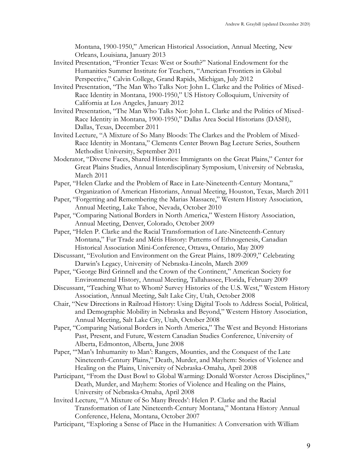Montana, 1900-1950," American Historical Association, Annual Meeting, New Orleans, Louisiana, January 2013

- Invited Presentation, "Frontier Texas: West or South?" National Endowment for the Humanities Summer Institute for Teachers, "American Frontiers in Global Perspective," Calvin College, Grand Rapids, Michigan, July 2012
- Invited Presentation, "The Man Who Talks Not: John L. Clarke and the Politics of Mixed-Race Identity in Montana, 1900-1950," US History Colloquium, University of California at Los Angeles, January 2012
- Invited Presentation, "The Man Who Talks Not: John L. Clarke and the Politics of Mixed-Race Identity in Montana, 1900-1950," Dallas Area Social Historians (DASH), Dallas, Texas, December 2011
- Invited Lecture, "A Mixture of So Many Bloods: The Clarkes and the Problem of Mixed-Race Identity in Montana," Clements Center Brown Bag Lecture Series, Southern Methodist University, September 2011
- Moderator, "Diverse Faces, Shared Histories: Immigrants on the Great Plains," Center for Great Plains Studies, Annual Interdisciplinary Symposium, University of Nebraska, March 2011
- Paper, "Helen Clarke and the Problem of Race in Late-Nineteenth-Century Montana," Organization of American Historians, Annual Meeting, Houston, Texas, March 2011
- Paper, "Forgetting and Remembering the Marias Massacre," Western History Association, Annual Meeting, Lake Tahoe, Nevada, October 2010
- Paper, "Comparing National Borders in North America," Western History Association, Annual Meeting, Denver, Colorado, October 2009
- Paper, "Helen P. Clarke and the Racial Transformation of Late-Nineteenth-Century Montana," Fur Trade and Métis History: Patterns of Ethnogenesis, Canadian Historical Association Mini-Conference, Ottawa, Ontario, May 2009
- Discussant, "Evolution and Environment on the Great Plains, 1809-2009," Celebrating Darwin's Legacy, University of Nebraska-Lincoln, March 2009
- Paper, "George Bird Grinnell and the Crown of the Continent," American Society for Environmental History, Annual Meeting, Tallahassee, Florida, February 2009
- Discussant, "Teaching What to Whom? Survey Histories of the U.S. West," Western History Association, Annual Meeting, Salt Lake City, Utah, October 2008
- Chair, "New Directions in Railroad History: Using Digital Tools to Address Social, Political, and Demographic Mobility in Nebraska and Beyond," Western History Association, Annual Meeting, Salt Lake City, Utah, October 2008
- Paper, "Comparing National Borders in North America," The West and Beyond: Historians Past, Present, and Future, Western Canadian Studies Conference, University of Alberta, Edmonton, Alberta, June 2008
- Paper, "'Man's Inhumanity to Man': Rangers, Mounties, and the Conquest of the Late Nineteenth-Century Plains," Death, Murder, and Mayhem: Stories of Violence and Healing on the Plains, University of Nebraska-Omaha, April 2008
- Participant, "From the Dust Bowl to Global Warming: Donald Worster Across Disciplines," Death, Murder, and Mayhem: Stories of Violence and Healing on the Plains, University of Nebraska-Omaha, April 2008
- Invited Lecture, "'A Mixture of So Many Breeds': Helen P. Clarke and the Racial Transformation of Late Nineteenth-Century Montana," Montana History Annual Conference, Helena, Montana, October 2007
- Participant, "Exploring a Sense of Place in the Humanities: A Conversation with William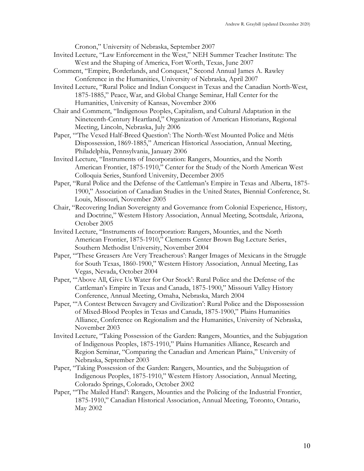Cronon," University of Nebraska, September 2007

- Invited Lecture, "Law Enforcement in the West," NEH Summer Teacher Institute: The West and the Shaping of America, Fort Worth, Texas, June 2007
- Comment, "Empire, Borderlands, and Conquest," Second Annual James A. Rawley Conference in the Humanities, University of Nebraska, April 2007
- Invited Lecture, "Rural Police and Indian Conquest in Texas and the Canadian North-West, 1875-1885," Peace, War, and Global Change Seminar, Hall Center for the Humanities, University of Kansas, November 2006
- Chair and Comment, "Indigenous Peoples, Capitalism, and Cultural Adaptation in the Nineteenth-Century Heartland," Organization of American Historians, Regional Meeting, Lincoln, Nebraska, July 2006
- Paper, "'The Vexed Half-Breed Question': The North-West Mounted Police and Métis Dispossession, 1869-1885," American Historical Association, Annual Meeting, Philadelphia, Pennsylvania, January 2006
- Invited Lecture, "Instruments of Incorporation: Rangers, Mounties, and the North American Frontier, 1875-1910," Center for the Study of the North American West Colloquia Series, Stanford University, December 2005
- Paper, "Rural Police and the Defense of the Cattleman's Empire in Texas and Alberta, 1875- 1900," Association of Canadian Studies in the United States, Biennial Conference, St. Louis, Missouri, November 2005
- Chair, "Recovering Indian Sovereignty and Governance from Colonial Experience, History, and Doctrine," Western History Association, Annual Meeting, Scottsdale, Arizona, October 2005
- Invited Lecture, "Instruments of Incorporation: Rangers, Mounties, and the North American Frontier, 1875-1910," Clements Center Brown Bag Lecture Series, Southern Methodist University, November 2004
- Paper, "'These Greasers Are Very Treacherous': Ranger Images of Mexicans in the Struggle for South Texas, 1860-1900," Western History Association, Annual Meeting, Las Vegas, Nevada, October 2004
- Paper, "'Above All, Give Us Water for Our Stock': Rural Police and the Defense of the Cattleman's Empire in Texas and Canada, 1875-1900," Missouri Valley History Conference, Annual Meeting, Omaha, Nebraska, March 2004
- Paper, "'A Contest Between Savagery and Civilization': Rural Police and the Dispossession of Mixed-Blood Peoples in Texas and Canada, 1875-1900," Plains Humanities Alliance, Conference on Regionalism and the Humanities, University of Nebraska, November 2003
- Invited Lecture, "Taking Possession of the Garden: Rangers, Mounties, and the Subjugation of Indigenous Peoples, 1875-1910," Plains Humanities Alliance, Research and Region Seminar, "Comparing the Canadian and American Plains," University of Nebraska, September 2003
- Paper, "Taking Possession of the Garden: Rangers, Mounties, and the Subjugation of Indigenous Peoples, 1875-1910," Western History Association, Annual Meeting, Colorado Springs, Colorado, October 2002
- Paper, "'The Mailed Hand': Rangers, Mounties and the Policing of the Industrial Frontier, 1875-1910," Canadian Historical Association, Annual Meeting, Toronto, Ontario, May 2002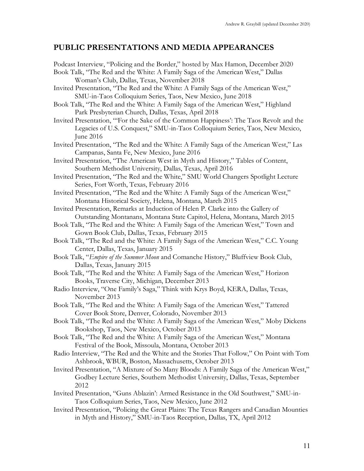# **PUBLIC PRESENTATIONS AND MEDIA APPEARANCES**

- Podcast Interview, "Policing and the Border," hosted by Max Hamon, December 2020 Book Talk, "The Red and the White: A Family Saga of the American West," Dallas Woman's Club, Dallas, Texas, November 2018 Invited Presentation, "The Red and the White: A Family Saga of the American West," SMU-in-Taos Colloquium Series, Taos, New Mexico, June 2018 Book Talk, "The Red and the White: A Family Saga of the American West," Highland Park Presbyterian Church, Dallas, Texas, April 2018 Invited Presentation, "'For the Sake of the Common Happiness': The Taos Revolt and the Legacies of U.S. Conquest," SMU-in-Taos Colloquium Series, Taos, New Mexico, June 2016 Invited Presentation, "The Red and the White: A Family Saga of the American West," Las Campanas, Santa Fe, New Mexico, June 2016 Invited Presentation, "The American West in Myth and History," Tables of Content, Southern Methodist University, Dallas, Texas, April 2016 Invited Presentation, "The Red and the White," SMU World Changers Spotlight Lecture Series, Fort Worth, Texas, February 2016 Invited Presentation, "The Red and the White: A Family Saga of the American West," Montana Historical Society, Helena, Montana, March 2015 Invited Presentation, Remarks at Induction of Helen P. Clarke into the Gallery of Outstanding Montanans, Montana State Capitol, Helena, Montana, March 2015 Book Talk, "The Red and the White: A Family Saga of the American West," Town and Gown Book Club, Dallas, Texas, February 2015 Book Talk, "The Red and the White: A Family Saga of the American West," C.C. Young Center, Dallas, Texas, January 2015 Book Talk, "*Empire of the Summer Moon* and Comanche History," Bluffview Book Club, Dallas, Texas, January 2015 Book Talk, "The Red and the White: A Family Saga of the American West," Horizon Books, Traverse City, Michigan, December 2013 Radio Interview, "One Family's Saga," Think with Krys Boyd, KERA, Dallas, Texas, November 2013 Book Talk, "The Red and the White: A Family Saga of the American West," Tattered Cover Book Store, Denver, Colorado, November 2013 Book Talk, "The Red and the White: A Family Saga of the American West," Moby Dickens Bookshop, Taos, New Mexico, October 2013 Book Talk, "The Red and the White: A Family Saga of the American West," Montana Festival of the Book, Missoula, Montana, October 2013 Radio Interview, "The Red and the White and the Stories That Follow," On Point with Tom Ashbrook, WBUR, Boston, Massachusetts, October 2013 Invited Presentation, "A Mixture of So Many Bloods: A Family Saga of the American West," Godbey Lecture Series, Southern Methodist University, Dallas, Texas, September 2012 Invited Presentation, "Guns Ablazin': Armed Resistance in the Old Southwest," SMU-in-Taos Colloquium Series, Taos, New Mexico, June 2012
- Invited Presentation, "Policing the Great Plains: The Texas Rangers and Canadian Mounties in Myth and History," SMU-in-Taos Reception, Dallas, TX, April 2012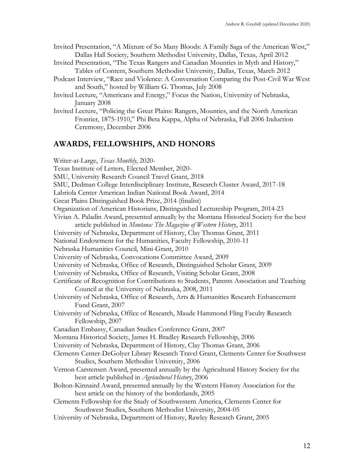- Invited Presentation, "A Mixture of So Many Bloods: A Family Saga of the American West," Dallas Hall Society, Southern Methodist University, Dallas, Texas, April 2012
- Invited Presentation, "The Texas Rangers and Canadian Mounties in Myth and History," Tables of Content, Southern Methodist University, Dallas, Texas, March 2012
- Podcast Interview, "Race and Violence: A Conversation Comparing the Post-Civil War West and South," hosted by William G. Thomas, July 2008
- Invited Lecture, "Americans and Energy," Focus the Nation, University of Nebraska, January 2008
- Invited Lecture, "Policing the Great Plains: Rangers, Mounties, and the North American Frontier, 1875-1910," Phi Beta Kappa, Alpha of Nebraska, Fall 2006 Induction Ceremony, December 2006

# **AWARDS, FELLOWSHIPS, AND HONORS**

Writer-at-Large, *Texas Monthly*, 2020- Texas Institute of Letters, Elected Member, 2020- SMU, University Research Council Travel Grant, 2018 SMU, Dedman College Interdisciplinary Institute, Research Cluster Award, 2017-18 Labriola Center American Indian National Book Award, 2014 Great Plains Distinguished Book Prize, 2014 (finalist) Organization of American Historians, Distinguished Lectureship Program, 2014-23 Vivian A. Paladin Award, presented annually by the Montana Historical Society for the best article published in *Montana: The Magazine of Western History*, 2011 University of Nebraska, Department of History, Clay Thomas Grant, 2011 National Endowment for the Humanities, Faculty Fellowship, 2010-11 Nebraska Humanities Council, Mini-Grant, 2010 University of Nebraska, Convocations Committee Award, 2009 University of Nebraska, Office of Research, Distinguished Scholar Grant, 2009 University of Nebraska, Office of Research, Visiting Scholar Grant, 2008 Certificate of Recognition for Contributions to Students, Parents Association and Teaching Council at the University of Nebraska, 2008, 2011 University of Nebraska, Office of Research, Arts & Humanities Research Enhancement Fund Grant, 2007 University of Nebraska, Office of Research, Maude Hammond Fling Faculty Research Fellowship, 2007 Canadian Embassy, Canadian Studies Conference Grant, 2007 Montana Historical Society, James H. Bradley Research Fellowship, 2006 University of Nebraska, Department of History, Clay Thomas Grant, 2006 Clements Center-DeGolyer Library Research Travel Grant, Clements Center for Southwest Studies, Southern Methodist University, 2006 Vernon Carstensen Award, presented annually by the Agricultural History Society for the best article published in *Agricultural History*, 2006 Bolton-Kinnaird Award, presented annually by the Western History Association for the best article on the history of the borderlands, 2005 Clements Fellowship for the Study of Southwestern America, Clements Center for Southwest Studies, Southern Methodist University, 2004-05 University of Nebraska, Department of History, Rawley Research Grant, 2005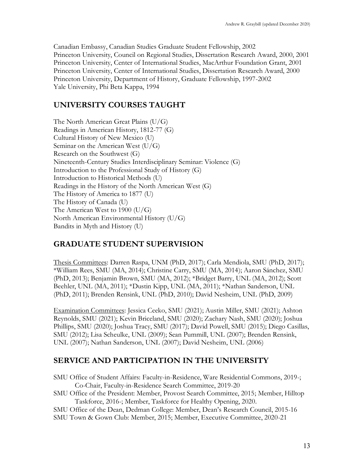Canadian Embassy, Canadian Studies Graduate Student Fellowship, 2002 Princeton University, Council on Regional Studies, Dissertation Research Award, 2000, 2001 Princeton University, Center of International Studies, MacArthur Foundation Grant, 2001 Princeton University, Center of International Studies, Dissertation Research Award, 2000 Princeton University, Department of History, Graduate Fellowship, 1997-2002 Yale University, Phi Beta Kappa, 1994

# **UNIVERSITY COURSES TAUGHT**

The North American Great Plains (U/G) Readings in American History, 1812-77 (G) Cultural History of New Mexico (U) Seminar on the American West (U/G) Research on the Southwest (G) Nineteenth-Century Studies Interdisciplinary Seminar: Violence (G) Introduction to the Professional Study of History (G) Introduction to Historical Methods (U) Readings in the History of the North American West (G) The History of America to 1877 (U) The History of Canada (U) The American West to 1900 (U/G) North American Environmental History (U/G) Bandits in Myth and History (U)

# **GRADUATE STUDENT SUPERVISION**

Thesis Committees: Darren Raspa, UNM (PhD, 2017); Carla Mendiola, SMU (PhD, 2017); \*William Rees, SMU (MA, 2014); Christine Carry, SMU (MA, 2014); Aaron Sánchez, SMU (PhD, 2013); Benjamin Brown, SMU (MA, 2012); \*Bridget Barry, UNL (MA, 2012); Scott Beehler, UNL (MA, 2011); \*Dustin Kipp, UNL (MA, 2011); \*Nathan Sanderson, UNL (PhD, 2011); Brenden Rensink, UNL (PhD, 2010); David Nesheim, UNL (PhD, 2009)

Examination Committees: Jessica Ceeko, SMU (2021); Austin Miller, SMU (2021); Ashton Reynolds, SMU (2021); Kevin Briceland, SMU (2020); Zachary Nash, SMU (2020); Joshua Phillips, SMU (2020); Joshua Tracy, SMU (2017); David Powell, SMU (2015); Diego Casillas, SMU (2012); Lisa Scheulke, UNL (2009); Sean Pummill, UNL (2007); Brenden Rensink, UNL (2007); Nathan Sanderson, UNL (2007); David Nesheim, UNL (2006)

# **SERVICE AND PARTICIPATION IN THE UNIVERSITY**

SMU Office of Student Affairs: Faculty-in-Residence, Ware Residential Commons, 2019-; Co-Chair, Faculty-in-Residence Search Committee, 2019-20

SMU Office of the President: Member, Provost Search Committee, 2015; Member, Hilltop Taskforce, 2016-; Member, Taskforce for Healthy Opening, 2020.

SMU Office of the Dean, Dedman College: Member, Dean's Research Council, 2015-16

SMU Town & Gown Club: Member, 2015; Member, Executive Committee, 2020-21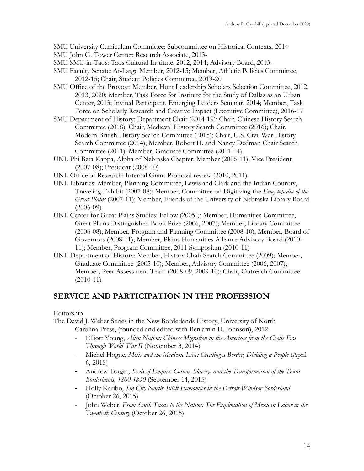SMU University Curriculum Committee: Subcommittee on Historical Contexts, 2014

- SMU John G. Tower Center: Research Associate, 2013-
- SMU SMU-in-Taos: Taos Cultural Institute, 2012, 2014; Advisory Board, 2013-
- SMU Faculty Senate: At-Large Member, 2012-15; Member, Athletic Policies Committee, 2012-15; Chair, Student Policies Committee, 2019-20
- SMU Office of the Provost: Member, Hunt Leadership Scholars Selection Committee, 2012, 2013, 2020; Member, Task Force for Institute for the Study of Dallas as an Urban Center, 2013; Invited Participant, Emerging Leaders Seminar, 2014; Member, Task Force on Scholarly Research and Creative Impact (Executive Committee), 2016-17
- SMU Department of History: Department Chair (2014-19); Chair, Chinese History Search Committee (2018); Chair, Medieval History Search Committee (2016); Chair, Modern British History Search Committee (2015); Chair, U.S. Civil War History Search Committee (2014); Member, Robert H. and Nancy Dedman Chair Search Committee (2011); Member, Graduate Committee (2011-14)
- UNL Phi Beta Kappa, Alpha of Nebraska Chapter: Member (2006-11); Vice President (2007-08); President (2008-10)
- UNL Office of Research: Internal Grant Proposal review (2010, 2011)
- UNL Libraries: Member, Planning Committee, Lewis and Clark and the Indian Country, Traveling Exhibit (2007-08); Member, Committee on Digitizing the *Encyclopedia of the Great Plains* (2007-11); Member, Friends of the University of Nebraska Library Board (2006-09)
- UNL Center for Great Plains Studies: Fellow (2005-); Member, Humanities Committee, Great Plains Distinguished Book Prize (2006, 2007); Member, Library Committee (2006-08); Member, Program and Planning Committee (2008-10); Member, Board of Governors (2008-11); Member, Plains Humanities Alliance Advisory Board (2010- 11); Member, Program Committee, 2011 Symposium (2010-11)
- UNL Department of History: Member, History Chair Search Committee (2009); Member, Graduate Committee (2005-10); Member, Advisory Committee (2006, 2007); Member, Peer Assessment Team (2008-09; 2009-10); Chair, Outreach Committee (2010-11)

# **SERVICE AND PARTICIPATION IN THE PROFESSION**

### Editorship

The David J. Weber Series in the New Borderlands History, University of North Carolina Press, (founded and edited with Benjamin H. Johnson), 2012-

- Elliott Young, *Alien Nation: Chinese Migration in the Americas from the Coolie Era Through World War II* (November 3, 2014)
- Michel Hogue, *Metis and the Medicine Line: Creating a Border, Dividing a People* (April 6, 2015)
- Andrew Torget, *Seeds of Empire: Cotton, Slavery, and the Transformation of the Texas Borderlands, 1800-1850* (September 14, 2015)
- Holly Karibo, *Sin City North: Illicit Economies in the Detroit-Windsor Borderland* (October 26, 2015)
- John Weber, *From South Texas to the Nation: The Exploitation of Mexican Labor in the Twentieth Century* (October 26, 2015)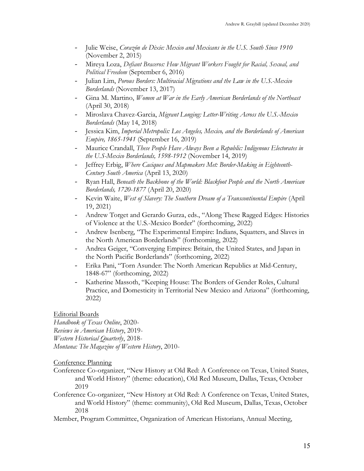- Julie Weise, *Corazón de Dixie: Mexico and Mexicans in the U.S. South Since 1910* (November 2, 2015)
- Mireya Loza, *Defiant Braceros: How Migrant Workers Fought for Racial, Sexual, and Political Freedom* (September 6, 2016)
- Julian Lim, *Porous Borders: Multiracial Migrations and the Law in the U.S.-Mexico Borderlands* (November 13, 2017)
- Gina M. Martino, *Women at War in the Early American Borderlands of the Northeast* (April 30, 2018)
- Miroslava Chavez-Garcia, *Migrant Longing: Letter-Writing Across the U.S.-Mexico Borderlands* (May 14, 2018)
- Jessica Kim, *Imperial Metropolis: Los Angeles, Mexico, and the Borderlands of American Empire, 1865-1941* (September 16, 2019)
- Maurice Crandall, *These People Have Always Been a Republic: Indigenous Electorates in the U.S-Mexico Borderlands, 1598-1912* (November 14, 2019)
- Jeffrey Erbig, *Where Caciques and Mapmakers Met: Border-Making in Eighteenth-Century South America* (April 13, 2020)
- Ryan Hall, *Beneath the Backbone of the World: Blackfoot People and the North American Borderlands, 1720-1877* (April 20, 2020)
- Kevin Waite, *West of Slavery: The Southern Dream of a Transcontinental Empire* (April 19, 2021)
- Andrew Torget and Gerardo Gurza, eds., "Along These Ragged Edges: Histories of Violence at the U.S.-Mexico Border" (forthcoming, 2022)
- Andrew Isenberg, "The Experimental Empire: Indians, Squatters, and Slaves in the North American Borderlands" (forthcoming, 2022)
- Andrea Geiger, "Converging Empires: Britain, the United States, and Japan in the North Pacific Borderlands" (forthcoming, 2022)
- Erika Pani, "Torn Asunder: The North American Republics at Mid-Century, 1848-67" (forthcoming, 2022)
- Katherine Massoth, "Keeping House: The Borders of Gender Roles, Cultural Practice, and Domesticity in Territorial New Mexico and Arizona" (forthcoming, 2022)

### Editorial Boards

*Handbook of Texas Online*, 2020- *Reviews in American History*, 2019- *Western Historical Quarterly*, 2018- *Montana: The Magazine of Western History*, 2010-

### Conference Planning

- Conference Co-organizer, "New History at Old Red: A Conference on Texas, United States, and World History" (theme: education), Old Red Museum, Dallas, Texas, October 2019
- Conference Co-organizer, "New History at Old Red: A Conference on Texas, United States, and World History" (theme: community), Old Red Museum, Dallas, Texas, October 2018

Member, Program Committee, Organization of American Historians, Annual Meeting,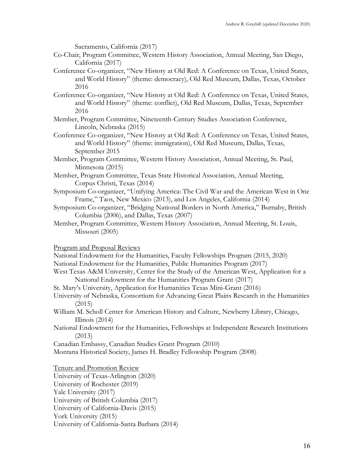Sacramento, California (2017)

- Co-Chair, Program Committee, Western History Association, Annual Meeting, San Diego, California (2017)
- Conference Co-organizer, "New History at Old Red: A Conference on Texas, United States, and World History" (theme: democracy), Old Red Museum, Dallas, Texas, October 2016
- Conference Co-organizer, "New History at Old Red: A Conference on Texas, United States, and World History" (theme: conflict), Old Red Museum, Dallas, Texas, September 2016
- Member, Program Committee, Nineteenth-Century Studies Association Conference, Lincoln, Nebraska (2015)
- Conference Co-organizer, "New History at Old Red: A Conference on Texas, United States, and World History" (theme: immigration), Old Red Museum, Dallas, Texas, September 2015
- Member, Program Committee, Western History Association, Annual Meeting, St. Paul, Minnesota (2015)
- Member, Program Committee, Texas State Historical Association, Annual Meeting, Corpus Christi, Texas (2014)
- Symposium Co-organizer, "Unifying America: The Civil War and the American West in One Frame," Taos, New Mexico (2013), and Los Angeles, California (2014)
- Symposium Co-organizer, "Bridging National Borders in North America," Burnaby, British Columbia (2006), and Dallas, Texas (2007)
- Member, Program Committee, Western History Association, Annual Meeting, St. Louis, Missouri (2005)

Program and Proposal Reviews

National Endowment for the Humanities, Faculty Fellowships Program (2015, 2020)

- National Endowment for the Humanities, Public Humanities Program (2017)
- West Texas A&M University, Center for the Study of the American West, Application for a National Endowment for the Humanities Program Grant (2017)
- St. Mary's University, Application for Humanities Texas Mini-Grant (2016)
- University of Nebraska, Consortium for Advancing Great Plains Research in the Humanities (2015)
- William M. Scholl Center for American History and Culture, Newberry Library, Chicago, Illinois (2014)
- National Endowment for the Humanities, Fellowships at Independent Research Institutions (2013)

Canadian Embassy, Canadian Studies Grant Program (2010)

Montana Historical Society, James H. Bradley Fellowship Program (2008)

Tenure and Promotion Review

University of Texas-Arlington (2020)

University of Rochester (2019)

Yale University (2017)

University of British Columbia (2017)

University of California-Davis (2015)

York University (2015)

University of California-Santa Barbara (2014)